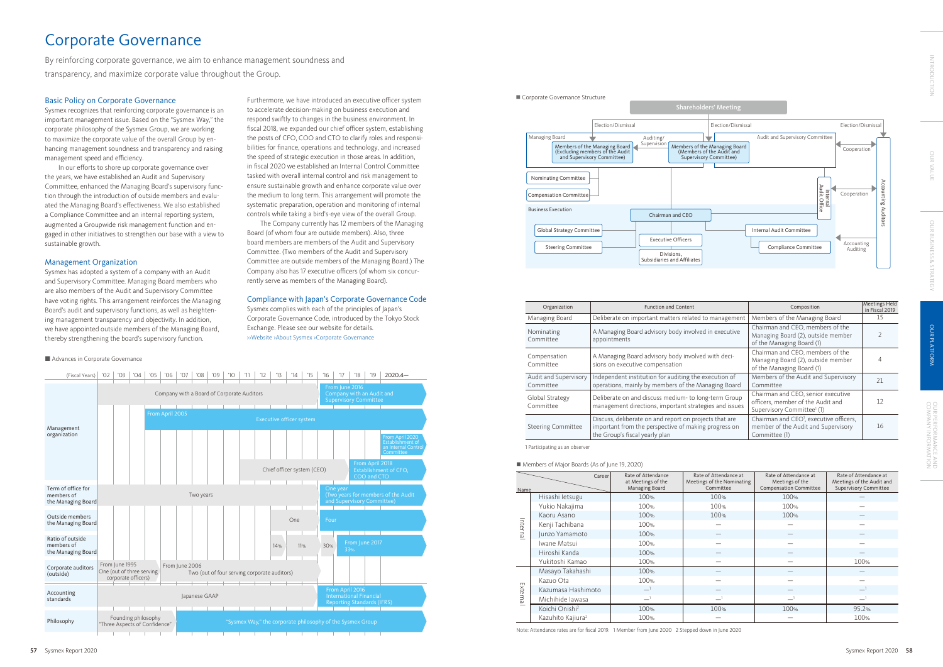By reinforcing corporate governance, we aim to enhance management soundness and transparency, and maximize corporate value throughout the Group.

> Furthermore, we have introduced an executive officer system to accelerate decision-making on business execution and respond swiftly to changes in the business environment. In fiscal 2018, we expanded our chief officer system, establishing the posts of CFO, COO and CTO to clarify roles and responsibilities for finance, operations and technology, and increased the speed of strategic execution in those areas. In addition, in fiscal 2020 we established an Internal Control Committee tasked with overall internal control and risk management to ensure sustainable growth and enhance corporate value over the medium to long term. This arrangement will promote the systematic preparation, operation and monitoring of internal controls while taking a bird's-eye view of the overall Group.

Corporate Governance Structure Shareholders' Meeting Election/Dismissal Managing Board ┵ Auditing/ IV Supervision Members of the Managing Board (Excluding members of the Audit and Supervisory Committee) Members of the Managing Board (Members of the Audit and Supervisory Committee) Nominating Committee Compensation Committee Business Execution Chairman and CEO Global Strategy Committee Executive Officers Steering Committee Divisions, Subsidiaries and Affiliates

The Company currently has 12 members of the Managing Board (of whom four are outside members). Also, three board members are members of the Audit and Supervisory Committee. (Two members of the Audit and Supervisory Committee are outside members of the Managing Board.) The Company also has 17 executive officers (of whom six concurrently serve as members of the Managing Board).

### Compliance with Japan's Corporate Governance Code

Sysmex complies with each of the principles of Japan's Corporate Governance Code, introduced by the Tokyo Stock Exchange. Please see our website for details. >>Website >About Sysmex >Corporate Governance





# Corporate Governance

| Name    | Career                        | Rate of Attendance<br>at Meetings of the<br>Managing Board | Rate of Attendance at<br>Meetings of the Nominating<br>Committee | Rate of Attendance at<br>Meetings of the<br><b>Compensation Committee</b> | Rate of Attendance at<br>Meetings of the Audit and<br><b>Supervisory Committee</b> |
|---------|-------------------------------|------------------------------------------------------------|------------------------------------------------------------------|---------------------------------------------------------------------------|------------------------------------------------------------------------------------|
|         | Hisashi letsugu               | 100%                                                       | 100%                                                             | 100%                                                                      |                                                                                    |
|         | Yukio Nakajima                | 100%                                                       | 100%                                                             | 100%                                                                      |                                                                                    |
|         | Kaoru Asano                   | 100%                                                       | 100%                                                             | 100%                                                                      |                                                                                    |
|         | Kenji Tachibana               | 100%                                                       |                                                                  |                                                                           |                                                                                    |
| Interna | Junzo Yamamoto                | 100%                                                       |                                                                  |                                                                           |                                                                                    |
|         | Iwane Matsui                  | 100%                                                       |                                                                  |                                                                           |                                                                                    |
|         | Hiroshi Kanda                 | 100%                                                       |                                                                  |                                                                           |                                                                                    |
|         | Yukitoshi Kamao               | 100%                                                       |                                                                  |                                                                           | 100%                                                                               |
|         | Masayo Takahashi              | 100%                                                       |                                                                  |                                                                           |                                                                                    |
|         | Kazuo Ota                     | 100%                                                       |                                                                  |                                                                           |                                                                                    |
| Externa | Kazumasa Hashimoto            | $\equiv$ <sup>1</sup>                                      |                                                                  |                                                                           |                                                                                    |
|         | Michihide lawasa              | ᅼ                                                          |                                                                  |                                                                           |                                                                                    |
|         | Koichi Onishi <sup>2</sup>    | 100%                                                       | 100%                                                             | 100%                                                                      | 95.2%                                                                              |
|         | Kazuhito Kajiura <sup>2</sup> | 100%                                                       |                                                                  |                                                                           | 100%                                                                               |

Note: Attendance rates are for fiscal 2019. 1 Member from June 2020 2 Stepped down in June 2020

### Basic Policy on Corporate Governance

Sysmex recognizes that reinforcing corporate governance is an important management issue. Based on the "Sysmex Way," the corporate philosophy of the Sysmex Group, we are working to maximize the corporate value of the overall Group by enhancing management soundness and transparency and raising management speed and efficiency.

In our efforts to shore up corporate governance over the years, we have established an Audit and Supervisory Committee, enhanced the Managing Board's supervisory function through the introduction of outside members and evaluated the Managing Board's effectiveness. We also established a Compliance Committee and an internal reporting system, augmented a Groupwide risk management function and engaged in other initiatives to strengthen our base with a view to sustainable growth.

### Management Organization

Sysmex has adopted a system of a company with an Audit and Supervisory Committee. Managing Board members who are also members of the Audit and Supervisory Committee have voting rights. This arrangement reinforces the Managing Board's audit and supervisory functions, as well as heightening management transparency and objectivity. In addition, we have appointed outside members of the Managing Board, thereby strengthening the board's supervisory function.

| Organization                       | <b>Function and Content</b>                                                                                                                      | Composition                                                                                                       | <b>Meetings Held</b><br>in Fiscal 2019 |
|------------------------------------|--------------------------------------------------------------------------------------------------------------------------------------------------|-------------------------------------------------------------------------------------------------------------------|----------------------------------------|
| Managing Board                     | Deliberate on important matters related to management                                                                                            | Members of the Managing Board                                                                                     | 15                                     |
| Nominating<br>Committee            | A Managing Board advisory body involved in executive<br>appointments                                                                             | Chairman and CEO, members of the<br>Managing Board (2), outside member<br>of the Managing Board (1)               |                                        |
| Compensation<br>Committee          | A Managing Board advisory body involved with deci-<br>sions on executive compensation                                                            | Chairman and CEO, members of the<br>Managing Board (2), outside member<br>of the Managing Board (1)               |                                        |
| Audit and Supervisory<br>Committee | Independent institution for auditing the execution of<br>operations, mainly by members of the Managing Board                                     | Members of the Audit and Supervisory<br>Committee                                                                 | 21                                     |
| Global Strategy<br>Committee       | Deliberate on and discuss medium- to long-term Group<br>management directions, important strategies and issues                                   | Chairman and CEO, senior executive<br>officers, member of the Audit and<br>Supervisory Committee <sup>1</sup> (1) | 12                                     |
| <b>Steering Committee</b>          | Discuss, deliberate on and report on projects that are<br>important from the perspective of making progress on<br>the Group's fiscal yearly plan | Chairman and CEO <sup>1</sup> , executive officers,<br>member of the Audit and Supervisory<br>Committee (1)       | 16                                     |

1 Participating as an observer

#### ■ Members of Major Boards (As of June 19, 2020)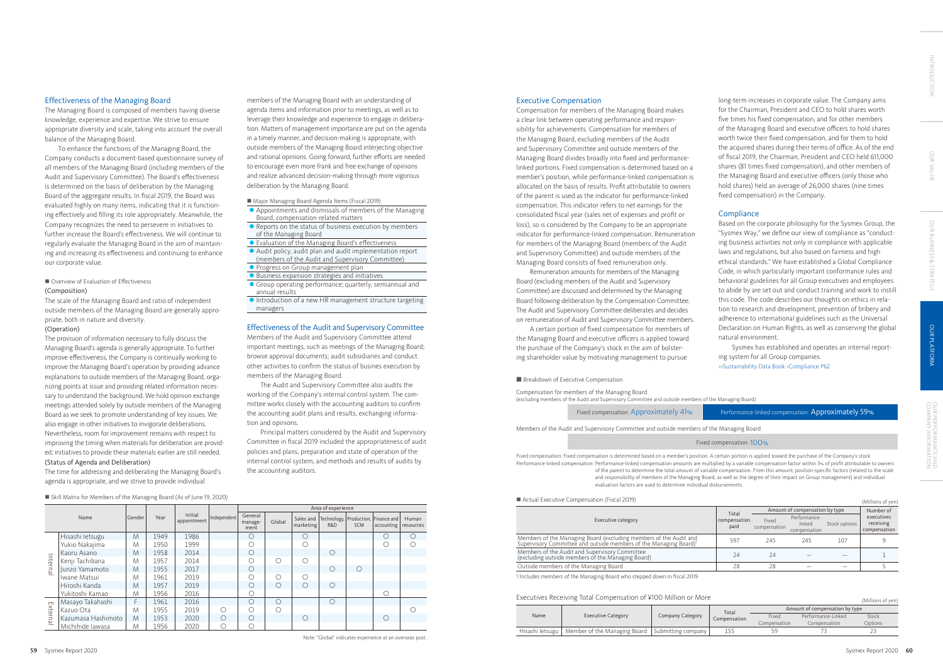#### Effectiveness of the Managing Board

The Managing Board is composed of members having diverse knowledge, experience and expertise. We strive to ensure appropriate diversity and scale, taking into account the overall balance of the Managing Board.

#### ■ Overview of Evaluation of Effectiveness (Composition)

To enhance the functions of the Managing Board, the Company conducts a document-based questionnaire survey of all members of the Managing Board (including members of the Audit and Supervisory Committee). The Board's effectiveness is determined on the basis of deliberation by the Managing Board of the aggregate results. In fiscal 2019, the Board was evaluated highly on many items, indicating that it is functioning effectively and filling its role appropriately. Meanwhile, the Company recognizes the need to persevere in initiatives to further increase the Board's effectiveness. We will continue to regularly evaluate the Managing Board in the aim of maintaining and increasing its effectiveness and continuing to enhance our corporate value.

The scale of the Managing Board and ratio of independent outside members of the Managing Board are generally appropriate, both in nature and diversity.

#### (Operation)

The provision of information necessary to fully discuss the Managing Board's agenda is generally appropriate. To further improve effectiveness, the Company is continually working to improve the Managing Board's operation by providing advance explanations to outside members of the Managing Board, organizing points at issue and providing related information necessary to understand the background. We hold opinion exchange meetings attended solely by outside members of the Managing Board as we seek to promote understanding of key issues. We also engage in other initiatives to invigorate deliberations. Nevertheless, room for improvement remains with respect to improving the timing when materials for deliberation are provided; initiatives to provide these materials earlier are still needed. (Status of Agenda and Deliberation)

The time for addressing and deliberating the Managing Board's agenda is appropriate, and we strive to provide individual

#### Executive Compensation

Compensation for members of the Managing Board makes a clear link between operating performance and responsibility for achievements. Compensation for members of the Managing Board, excluding members of the Audit and Supervisory Committee and outside members of the Managing Board divides broadly into fixed and performancelinked portions. Fixed compensation is determined based on a member's position, while performance-linked compensation is allocated on the basis of results. Profit attributable to owners of the parent is used as the indicator for performance-linked compensation. This indicator refers to net earnings for the consolidated fiscal year (sales net of expenses and profit or loss), so is considered by the Company to be an appropriate indicator for performance-linked compensation. Remuneration for members of the Managing Board (members of the Audit and Supervisory Committee) and outside members of the Managing Board consists of fixed remuneration only.

Remuneration amounts for members of the Managing Board (excluding members of the Audit and Supervisory Committee) are discussed and determined by the Managing Board following deliberation by the Compensation Committee. The Audit and Supervisory Committee deliberates and decides on remuneration of Audit and Supervisory Committee members.

A certain portion of fixed compensation for members of the Managing Board and executive officers is applied toward the purchase of the Company's stock in the aim of bolstering shareholder value by motivating management to pursue

#### **Breakdown of Executive Compensation**

#### Executive category

| $\blacksquare$ Actual Executive Compensation (Fiscal ZO19)                                                                                         |                               |                                |                                        |               | (Millions of yen)                       |
|----------------------------------------------------------------------------------------------------------------------------------------------------|-------------------------------|--------------------------------|----------------------------------------|---------------|-----------------------------------------|
|                                                                                                                                                    | Total<br>compensation<br>paid | Amount of compensation by type | Number of                              |               |                                         |
| Executive category                                                                                                                                 |                               | Fixed<br>compensation          | Performance-<br>linked<br>compensation | Stock options | executives<br>receiving<br>compensation |
| Members of the Managing Board (excluding members of the Audit and<br>Supervisory Committee and outside members of the Managing Board) <sup>1</sup> | 597                           | 245                            | 245                                    | 107           |                                         |
| Members of the Audit and Supervisory Committee<br>(excluding outside members of the Managing Board)                                                | 24                            | 24                             |                                        |               |                                         |
| Outside members of the Managing Board                                                                                                              | 28                            | 28                             |                                        |               |                                         |
| 100010                                                                                                                                             |                               |                                |                                        |               |                                         |

1 Includes members of the Managing Board who stepped down in fiscal 2019

### Executives Receiving Total Compensation of ¥100 Million or More (Millions of yen) (Millions of yen)

|                 |                                                     | Company Category | Total        | Amount of compensation by type |                    |         |  |
|-----------------|-----------------------------------------------------|------------------|--------------|--------------------------------|--------------------|---------|--|
| Name            | <b>Executive Category</b>                           |                  | Compensation | Fixed                          | Performance-Linked | Stock   |  |
|                 |                                                     |                  |              | Compensation                   | Compensation       | Options |  |
| Hisashi letsugu | Member of the Managing Board   Submitting company I |                  | 155          |                                |                    |         |  |

- **Appointments and dismissals of members of the Managing** Board, compensation-related matters
- l Reports on the status of business execution by members of the Managing Board
- Evaluation of the Managing Board's effectiveness
- Audit policy, audit plan and audit implementation report (members of the Audit and Supervisory Committee)
- **Progress on Group management plan**
- $\bullet$  Business expansion strategies and initiatives
- **•** Group operating performance; quarterly, semiannual and annual results
- $\bullet$  Introduction of a new HR management structure targeting managers

Members of the Audit and Supervisory Committee and outside members of the Managing Board

Compensation for members of the Managing Board (excluding members of the Audit and Supervisory Committee and outside members of the Managing Board)

#### Fixed compensation: 100%

long-term increases in corporate value. The Company aims for the Chairman, President and CEO to hold shares worth five times his fixed compensation, and for other members of the Managing Board and executive officers to hold shares worth twice their fixed compensation, and for them to hold the acquired shares during their terms of office. As of the end of fiscal 2019, the Chairman, President and CEO held 611,000 shares (81 times fixed compensation), and other members of the Managing Board and executive officers (only those who hold shares) held an average of 26,000 shares (nine times fixed compensation) in the Company.

## **Compliance**

Based on the corporate philosophy for the Sysmex Group, the "Sysmex Way," we define our view of compliance as "conducting business activities not only in compliance with applicable laws and regulations, but also based on fairness and high ethical standards." We have established a Global Compliance Code, in which particularly important conformance rules and behavioral guidelines for all Group executives and employees to abide by are set out and conduct training and work to instill this code. The code describes our thoughts on ethics in relation to research and development, prevention of bribery and adherence to international guidelines such as the Universal Declaration on Human Rights, as well as conserving the global natural environment.

Sysmex has established and operates an internal reporting system for all Group companies.

>>Sustainability Data Book >Compliance P62

### Fixed compensation: Approximately 41% Performance-linked compensation: Approximately 59%

Fixed compensation: Fixed compensation is determined based on a member's position. A certain portion is applied toward the purchase of the Company's stock Performance-linked compensation: Performance-linked compensation amounts are multiplied by a variable compensation factor within 3% of profit attributable to owners of the parent to determine the total amount of variable compensation. From this amount, position-specific factors (related to the scale and responsibility of members of the Managing Board, as well as the degree of their impact on Group management) and individual evaluation factors are used to determine individual disbursements.

### $\blacksquare$  Actual Executive Compensation (Fiscal 2010)

n Skill Matrix for Members of the Managing Board (As of June 19, 2020)

|          | $\rightarrow$      |        |      |                        |             |                            |            |                        |            |            |                                                         |                    |
|----------|--------------------|--------|------|------------------------|-------------|----------------------------|------------|------------------------|------------|------------|---------------------------------------------------------|--------------------|
|          |                    |        |      |                        |             | Area of experience         |            |                        |            |            |                                                         |                    |
|          | Name               | Gender | Year | Initial<br>appointment | Independent | General<br>manage-<br>ment | Global     | Sales and<br>marketing | R&D        | <b>SCM</b> | Technology,   Production,   Finance and  <br>accounting | Human<br>resources |
|          | Hisashi letsugu    | M      | 1949 | 1986                   |             | О                          |            | О                      |            |            | О                                                       | ∩                  |
|          | Yukio Nakajima     | M      | 1950 | 1999                   |             | O                          |            | C                      |            |            | О                                                       |                    |
|          | Kaoru Asano        | M      | 1958 | 2014                   |             | О                          |            |                        | $\bigcirc$ |            |                                                         |                    |
| Internal | Kenji Tachibana    | M      | 1957 | 2014                   |             | О                          | ∩          | ∩                      |            |            |                                                         |                    |
|          | Junzo Yamamoto     | M      | 1955 | 2017                   |             | O                          |            |                        | $\bigcirc$ | $\bigcap$  |                                                         |                    |
|          | Iwane Matsui       | M      | 1961 | 2019                   |             | 0                          | $\bigcap$  | $\cap$                 |            |            |                                                         |                    |
|          | Hiroshi Kanda      | M      | 1957 | 2019                   |             | О                          | $\bigcirc$ | $\bigcirc$             | $\bigcirc$ |            |                                                         |                    |
|          | Yukitoshi Kamao    | M      | 1956 | 2016                   |             | О                          |            |                        |            |            | О                                                       |                    |
|          | Masayo Takahashi   | F      | 1961 | 2016                   |             | О                          | $\bigcirc$ |                        | $\circ$    |            |                                                         |                    |
|          | Kazuo Ota          | M      | 1955 | 2019                   | $\bigcirc$  | О                          | $\bigcap$  |                        |            |            |                                                         |                    |
| External | Kazumasa Hashimoto | M      | 1953 | 2020                   | $\bigcirc$  | $\bigcirc$                 |            | $\bigcap$              |            |            | ∩                                                       |                    |
|          | Michihide Jawasa   | M      | 1956 | 2020                   | О           | 0                          |            |                        |            |            |                                                         |                    |

#### Note: "Global" indicates experience at an overseas post.

members of the Managing Board with an understanding of agenda items and information prior to meetings, as well as to leverage their knowledge and experience to engage in deliberation. Matters of management importance are put on the agenda in a timely manner, and decision-making is appropriate, with outside members of the Managing Board interjecting objective and rational opinions. Going forward, further efforts are needed to encourage even more frank and free exchange of opinions and realize advanced decision-making through more vigorous deliberation by the Managing Board.

■ Major Managing Board Agenda Items (Fiscal 2019)

#### Effectiveness of the Audit and Supervisory Committee

Members of the Audit and Supervisory Committee attend important meetings, such as meetings of the Managing Board; browse approval documents; audit subsidiaries and conduct other activities to confirm the status of busines execution by members of the Managing Board.

The Audit and Supervisory Committee also audits the working of the Company's internal control system. The committee works closely with the accounting auditors to confirm the accounting audit plans and results, exchanging information and opinions.

Principal matters considered by the Audit and Supervisory Committee in fiscal 2019 included the appropriateness of audit policies and plans, preparation and state of operation of the internal control system, and methods and results of audits by the accounting auditors.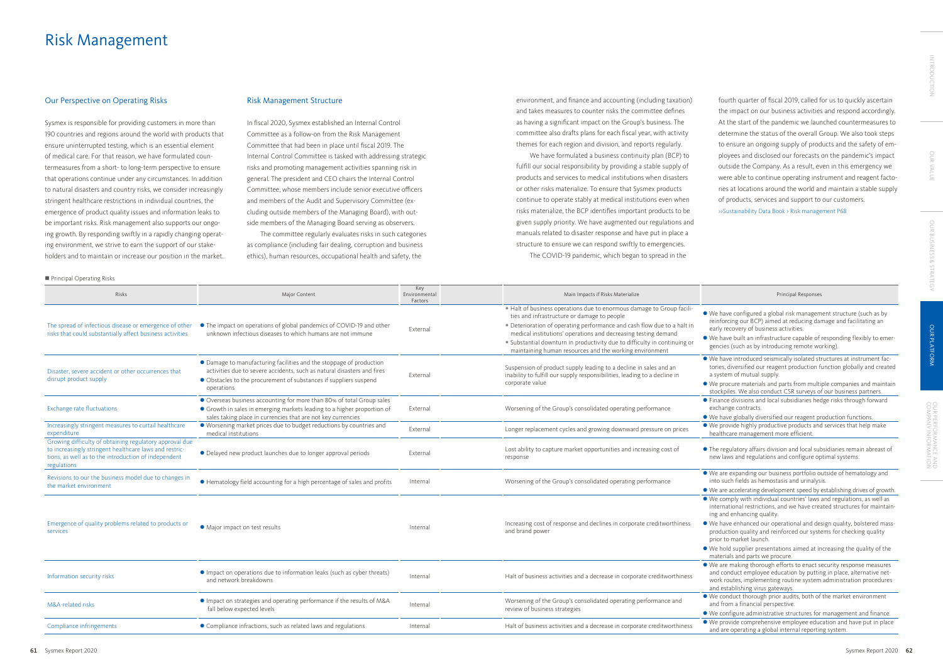### Our Perspective on Operating Risks

Sysmex is responsible for providing customers in more than 190 countries and regions around the world with products that ensure uninterrupted testing, which is an essential element of medical care. For that reason, we have formulated countermeasures from a short- to long-term perspective to ensure that operations continue under any circumstances. In addition to natural disasters and country risks, we consider increasingly stringent healthcare restrictions in individual countries, the emergence of product quality issues and information leaks to be important risks. Risk management also supports our ongoing growth. By responding swiftly in a rapidly changing operating environment, we strive to earn the support of our stakeholders and to maintain or increase our position in the market.

### Risk Management Structure

In fiscal 2020, Sysmex established an Internal Control Committee as a follow-on from the Risk Management Committee that had been in place until fiscal 2019. The Internal Control Committee is tasked with addressing strategic risks and promoting management activities spanning risk in general. The president and CEO chairs the Internal Control Committee, whose members include senior executive officers and members of the Audit and Supervisory Committee (excluding outside members of the Managing Board), with outside members of the Managing Board serving as observers.

The committee regularly evaluates risks in such categories as compliance (including fair dealing, corruption and business ethics), human resources, occupational health and safety, the

# Risk Management

environment, and finance and accounting (including taxation) and takes measures to counter risks the committee defines as having a significant impact on the Group's business. The committee also drafts plans for each fiscal year, with activity themes for each region and division, and reports regularly.

We have formulated a business continuity plan (BCP) to fulfill our social responsibility by providing a stable supply of products and services to medical institutions when disasters or other risks materialize. To ensure that Sysmex products continue to operate stably at medical institutions even when risks materialize, the BCP identifies important products to be given supply priority. We have augmented our regulations and manuals related to disaster response and have put in place a structure to ensure we can respond swiftly to emergencies.

The COVID-19 pandemic, which began to spread in the

fourth quarter of fiscal 2019, called for us to quickly ascertain the impact on our business activities and respond accordingly. At the start of the pandemic we launched countermeasures to determine the status of the overall Group. We also took steps to ensure an ongoing supply of products and the safety of employees and disclosed our forecasts on the pandemic's impact outside the Company. As a result, even in this emergency we were able to continue operating instrument and reagent factories at locations around the world and maintain a stable supply of products, services and support to our customers. >>Sustainability Data Book > Risk management P68

### Principal Responses

n Principal Operating Risks

- We have configured a global risk management structure (such as by reinforcing our BCP) aimed at reducing damage and facilitating an early recovery of business activities.
- l We have built an infrastructure capable of responding flexibly to emergencies (such as by introducing remote working).
- l We have introduced seismically isolated structures at instrument factories, diversified our reagent production function globally and created a system of mutual supply.
- l We procure materials and parts from multiple companies and maintain stockpiles. We also conduct CSR surveys of our business partners. **•** Finance divisions and local subsidiaries hedge risks through forward exchange contracts.
- We have globally diversified our reagent production functions.  $\bullet$  We provide highly productive products and services that help make healthcare management more efficient.
- The regulatory affairs division and local subsidiaries remain abreast of new laws and regulations and configure optimal systems.
- We are expanding our business portfolio outside of hematology and into such fields as hemostasis and urinalysis.
- l We are accelerating development speed by establishing drives of growth. l We comply with individual countries' laws and regulations, as well as international restrictions, and we have created structures for maintaining and enhancing quality.
- l We have enhanced our operational and design quality, bolstered massproduction quality and reinforced our systems for checking quality prior to market launch.
- l We hold supplier presentations aimed at increasing the quality of the materials and parts we procure.
- We are making thorough efforts to enact security response measures and conduct employee education by putting in place, alternative network routes, implementing routine system administration procedures and establishing virus gateways.
- l We conduct thorough prior audits, both of the market environment and from a financial perspective.
- We configure administrative structures for management and finance. • We provide comprehensive employee education and have put in place and are operating a global internal reporting system.

| $\blacksquare$ Principal Operating Kisks                                                                                                                                                                                                                  |                                                                                                                                                                                                                                   |                                 |                                                                                                                                                                                                                                                                                                                                                                                                           |
|-----------------------------------------------------------------------------------------------------------------------------------------------------------------------------------------------------------------------------------------------------------|-----------------------------------------------------------------------------------------------------------------------------------------------------------------------------------------------------------------------------------|---------------------------------|-----------------------------------------------------------------------------------------------------------------------------------------------------------------------------------------------------------------------------------------------------------------------------------------------------------------------------------------------------------------------------------------------------------|
| Risks                                                                                                                                                                                                                                                     | Major Content                                                                                                                                                                                                                     | Key<br>Environmental<br>Factors | Main Impacts if Risks Materialize                                                                                                                                                                                                                                                                                                                                                                         |
| The spread of infectious disease or emergence of other<br>risks that could substantially affect business activities                                                                                                                                       | • The impact on operations of global pandemics of COVID-19 and other<br>unknown infectious diseases to which humans are not immune                                                                                                | External                        | . Halt of business operations due to enormous damage to Group facili-<br>ties and infrastructure or damage to people<br>• Deterioration of operating performance and cash flow due to a halt in<br>medical institutions' operations and decreasing testing demand<br>• Substantial downturn in productivity due to difficulty in continuing or<br>maintaining human resources and the working environment |
| Disaster, severe accident or other occurrences that<br>disrupt product supply                                                                                                                                                                             | • Damage to manufacturing facilities and the stoppage of production<br>activities due to severe accidents, such as natural disasters and fires<br>• Obstacles to the procurement of substances if suppliers suspend<br>operations | External                        | Suspension of product supply leading to a decline in sales and an<br>inability to fulfill our supply responsibilities, leading to a decline in<br>corporate value                                                                                                                                                                                                                                         |
| <b>Exchange rate fluctuations</b>                                                                                                                                                                                                                         | Overseas business accounting for more than 80% of total Group sales<br>• Growth in sales in emerging markets leading to a higher proportion of<br>sales taking place in currencies that are not key currencies                    | External                        | Worsening of the Group's consolidated operating performance                                                                                                                                                                                                                                                                                                                                               |
| Increasingly stringent measures to curtail healthcare<br>expenditure                                                                                                                                                                                      | • Worsening market prices due to budget reductions by countries and<br>medical institutions                                                                                                                                       | External                        | Longer replacement cycles and growing downward pressure on prices                                                                                                                                                                                                                                                                                                                                         |
| Growing difficulty of obtaining regulatory approval due<br>to increasingly stringent healthcare laws and restric-<br>• Delayed new product launches due to longer approval periods<br>tions, as well as to the introduction of independent<br>regulations |                                                                                                                                                                                                                                   | External                        | Lost ability to capture market opportunities and increasing cost of<br>response                                                                                                                                                                                                                                                                                                                           |
| Revisions to our the business model due to changes in<br>the market environment                                                                                                                                                                           | • Hematology field accounting for a high percentage of sales and profits                                                                                                                                                          | Internal                        | Worsening of the Group's consolidated operating performance                                                                                                                                                                                                                                                                                                                                               |
| Emergence of quality problems related to products or<br>services                                                                                                                                                                                          | • Major impact on test results                                                                                                                                                                                                    | Internal                        | Increasing cost of response and declines in corporate creditworthiness<br>and brand power                                                                                                                                                                                                                                                                                                                 |
| Information security risks                                                                                                                                                                                                                                | • Impact on operations due to information leaks (such as cyber threats)<br>and network breakdowns                                                                                                                                 | Internal                        | Halt of business activities and a decrease in corporate creditworthiness                                                                                                                                                                                                                                                                                                                                  |
| • Impact on strategies and operating performance if the results of M&A<br>M&A-related risks<br>fall below expected levels                                                                                                                                 |                                                                                                                                                                                                                                   | Internal                        | Worsening of the Group's consolidated operating performance and<br>review of business strategies                                                                                                                                                                                                                                                                                                          |
| Compliance infringements                                                                                                                                                                                                                                  | • Compliance infractions, such as related laws and regulations                                                                                                                                                                    | Internal                        | Halt of business activities and a decrease in corporate creditworthiness                                                                                                                                                                                                                                                                                                                                  |
|                                                                                                                                                                                                                                                           |                                                                                                                                                                                                                                   |                                 |                                                                                                                                                                                                                                                                                                                                                                                                           |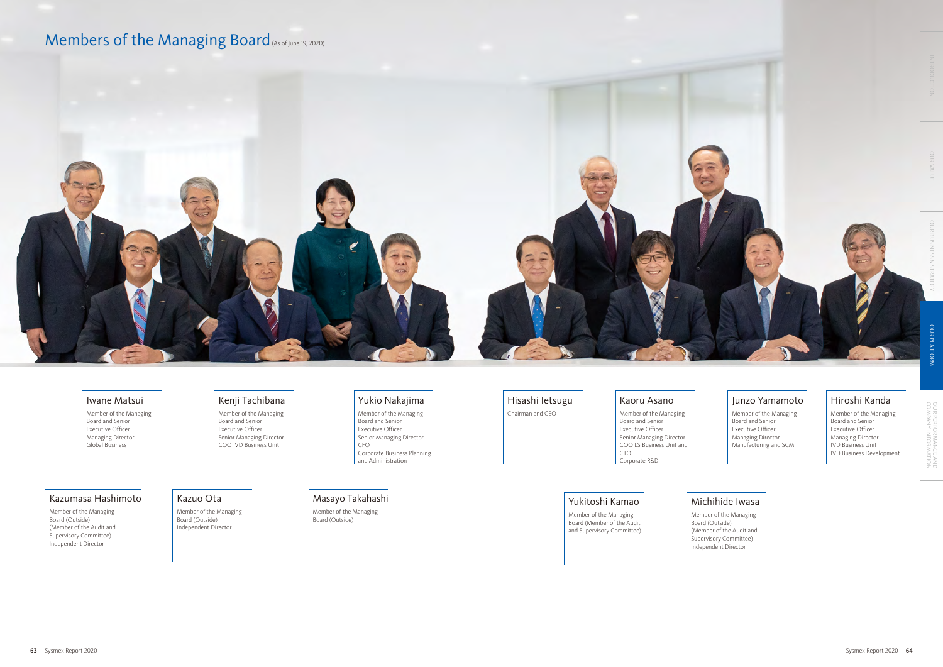### Iwane Matsui

Member of the Managing Board and Senior Executive Officer Managing Director Global Business

### Kazumasa Hashimoto

Member of the Managing Board (Outside) (Member of the Audit and Supervisory Committee) Independent Director

## Kenji Tachibana

Member of the Managing Board and Senior Executive Officer Senior Managing Director COO IVD Business Unit

## Kazuo Ota

Member of the Managing Board (Outside) Independent Director

## Yukio Nakajima

Member of the Managing Board and Senior Executive Officer Senior Managing Director CFO Corporate Business Planning and Administration

## Hisashi Ietsugu

Chairman and CEO

### Kaoru Asano



Member of the Managing Board and Senior Executive Officer Senior Managing Director COO LS Business Unit and CTO Corporate R&D

## Yukitoshi Kamao

Member of the Managing Board (Member of the Audit and Supervisory Committee)

## Junzo Yamamoto

Member of the Managing Board and Senior Executive Officer Managing Director Manufacturing and SCM

## Michihide Iwasa

Board (Outside)

Member of the Managing (Member of the Audit and Supervisory Committee) Independent Director

## Hiroshi Kanda

Member of the Managing Board and Senior Executive Officer Managing Director IVD Business Unit IVD Business Development

## Masayo Takahashi

Member of the Managing Board (Outside)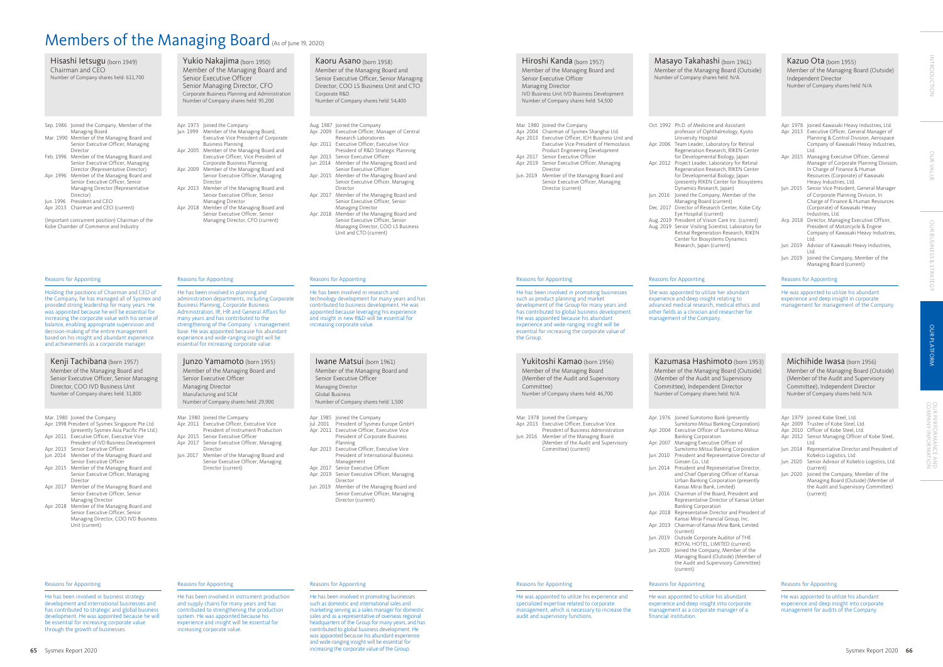He has been involved in promoting businesses such as domestic and international sales and marketing serving as a sales manager for domestic sales and as a representative of overseas regional headquarters of the Group for many years, and has contributed to global business development. He was appointed because his abundant experience and wide-ranging insight will be essential for increasing the corporate value of the Group. 65 Sysmex Report 2020 Sysmex Report 2020 66 Sysmex Report 2020 66

He was appointed to utilize his abundant experience and deep insight in corporate management for management of the Company.

Ph.D. of Medicine and Assistant professor of Ophthalmology, Kyoto University Hospital

Team Leader, Laboratory for Retinal Regeneration Research, RIKEN Center for Developmental Biology, Japan

Project Leader, Laboratory for Retinal Regeneration Research, RIKEN Center

Joined the Company, Member of the Managing Board (current)

#### Reasons for Appointing

She was appointed to utilize her abundant experience and deep insight relating to advanced medical research, medical ethics and s as a clinician and researcher for ent of the Company.

> masa Hashimoto (born 1953) r of the Managing Board (Outside) er of the Audit and Supervisory tee), Independent Director of Company shares held: N/A

He has been involved in business strategy development and international businesses and has contributed to strategic and global business development. He was appointed because he will be essential for increasing corporate value through the growth of businesses.

#### Reasons for Appointing

Joined Sumitomo Bank (presently Sumitomo Mitsui Banking Corporation) **Executive Officer of Sumitomo Mitsui** Banking Corporation

Apr. 2007 Managing Executive Officer of Sumitomo Mitsui Banking Corporation President and Representative Director of

He has been involved in instrument production and supply chains for many years and has contributed to strengthening the production system. He was appointed because his experience and insight will be essential for increasing corporate value.

#### ns for Appointing

# Members of the Managing Board (As of June 19, 2020)

| Hisashi letsugu (born 1949)<br>Chairman and CEO<br>Number of Company shares held: 611,700                                                                                                                                                                                                                                                                                                                                                                                                                                                                                                                                                                                              | Yukio Nakajima (born 1950)<br>Member of the Managing Board and<br>Senior Executive Officer<br>Senior Managing Director, CFO<br>Corporate Business Planning and Administration<br>Number of Company shares held: 95,200                                                                                                                                                                                                                                                                                                                                                                         | Kaoru Asano (born 1958)<br>Member of the Managing Board and<br>Senior Executive Officer, Senior Managing<br>Director, COO LS Business Unit and CTO<br>Corporate R&D<br>Number of Company shares held: 54,400                                                                                                                                                                                                                                                                                                                                                                                                                                                            | Hiroshi Kanda (born 1957)<br>Member of the Managing Board and<br>Senior Executive Officer<br>Managing Director<br>IVD Business Unit IVD Business Development<br>Number of Company shares held: 54,500                                                                                                                                                                                                                     | Masayo Takahas<br>Member of the Manag<br>Number of Company shar                                                                                                                                                                                                                                                                                                                                                                                                                                                                                                                                  |
|----------------------------------------------------------------------------------------------------------------------------------------------------------------------------------------------------------------------------------------------------------------------------------------------------------------------------------------------------------------------------------------------------------------------------------------------------------------------------------------------------------------------------------------------------------------------------------------------------------------------------------------------------------------------------------------|------------------------------------------------------------------------------------------------------------------------------------------------------------------------------------------------------------------------------------------------------------------------------------------------------------------------------------------------------------------------------------------------------------------------------------------------------------------------------------------------------------------------------------------------------------------------------------------------|-------------------------------------------------------------------------------------------------------------------------------------------------------------------------------------------------------------------------------------------------------------------------------------------------------------------------------------------------------------------------------------------------------------------------------------------------------------------------------------------------------------------------------------------------------------------------------------------------------------------------------------------------------------------------|---------------------------------------------------------------------------------------------------------------------------------------------------------------------------------------------------------------------------------------------------------------------------------------------------------------------------------------------------------------------------------------------------------------------------|--------------------------------------------------------------------------------------------------------------------------------------------------------------------------------------------------------------------------------------------------------------------------------------------------------------------------------------------------------------------------------------------------------------------------------------------------------------------------------------------------------------------------------------------------------------------------------------------------|
| Sep. 1986 Joined the Company, Member of the<br>Managing Board<br>Mar. 1990 Member of the Managing Board and<br>Senior Executive Officer, Managing<br>Director<br>Feb. 1996 Member of the Managing Board and<br>Senior Executive Officer, Managing<br>Director (Representative Director)<br>Apr. 1996 Member of the Managing Board and<br>Senior Executive Officer, Senior<br>Managing Director (Representative<br>Director)<br>Jun. 1996 President and CEO<br>Apr. 2013 Chairman and CEO (current)<br>(Important concurrent position) Chairman of the<br>Kobe Chamber of Commerce and Industry                                                                                         | Apr. 1973 Joined the Company<br>Jun. 1999 Member of the Managing Board,<br>Executive Vice President of Corporate<br><b>Business Planning</b><br>Apr. 2005 Member of the Managing Board and<br>Executive Officer, Vice President of<br>Corporate Business Planning<br>Apr. 2009 Member of the Managing Board and<br>Senior Executive Officer, Managing<br>Director<br>Apr. 2013 Member of the Managing Board and<br>Senior Executive Officer, Senior<br>Managing Director<br>Apr. 2018 Member of the Managing Board and<br>Senior Executive Officer, Senior<br>Managing Director, CFO (current) | Aug. 1987 Joined the Company<br>Apr. 2009 Executive Officer, Manager of Central<br>Research Laboratories<br>Apr. 2011 Executive Officer, Executive Vice<br>President of R&D Strategic Planning<br>Apr. 2013 Senior Executive Officer<br>Jun. 2014 Member of the Managing Board and<br>Senior Executive Officer<br>Apr. 2015 Member of the Managing Board and<br>Senior Executive Officer, Managing<br>Director<br>Apr. 2017 Member of the Managing Board and<br>Senior Executive Officer, Senior<br>Managing Director<br>Apr. 2018 Member of the Managing Board and<br>Senior Executive Officer, Senior<br>Managing Director, COO LS Business<br>Unit and CTO (current) | Mar. 1980 Joined the Company<br>Apr. 2004 Chairman of Sysmex Shanghai Ltd.<br>Apr. 2013 Executive Officer, ICH Business Unit and<br>Executive Vice President of Hemostasis<br>Product Engineering Development<br>Apr. 2017 Senior Executive Officer<br>Apr. 2019 Senior Executive Officer, Managing<br>Director<br>Jun. 2019 Member of the Managing Board and<br>Senior Executive Officer, Managing<br>Director (current) | Oct. 1992 Ph.D. of Medicin<br>professor of Opl<br>University Hosp<br>Apr. 2006 Team Leader, La<br>Regeneration Re<br>for Developmen<br>Apr. 2012 Project Leader, L<br>Regeneration Re<br>for Developmen<br>(presently RIKEN<br>Dynamics Resea<br>Jun. 2016 Joined the Comp<br>Managing Board<br>Dec. 2017 Director of Rese<br>Eye Hospital (cu<br>Aug. 2019 President of Visi<br>Aug. 2019 Senior Visiting S<br>Retinal Regenera<br>Center for Biosy<br>Research, Japan                                                                                                                          |
| <b>Reasons for Appointing</b>                                                                                                                                                                                                                                                                                                                                                                                                                                                                                                                                                                                                                                                          | <b>Reasons for Appointing</b>                                                                                                                                                                                                                                                                                                                                                                                                                                                                                                                                                                  | Reasons for Appointing                                                                                                                                                                                                                                                                                                                                                                                                                                                                                                                                                                                                                                                  | Reasons for Appointing                                                                                                                                                                                                                                                                                                                                                                                                    | Reasons for Appointing                                                                                                                                                                                                                                                                                                                                                                                                                                                                                                                                                                           |
| Holding the positions of Chairman and CEO of<br>the Company, he has managed all of Sysmex and<br>provided strong leadership for many years. He<br>was appointed because he will be essential for<br>increasing the corporate value with his sense of<br>balance, enabling appropriate supervision and<br>decision-making of the entire management<br>based on his insight and abundant experience<br>and achievements as a corporate manager.                                                                                                                                                                                                                                          | He has been involved in planning and<br>administration departments, including Corporate<br><b>Business Planning, Corporate Business</b><br>Administration, IR, HR and General Affairs for<br>many years and has contributed to the<br>strengthening of the Company's management<br>base. He was appointed because his abundant<br>experience and wide-ranging insight will be<br>essential for increasing corporate value.                                                                                                                                                                     | He has been involved in research and<br>technology development for many years and has<br>contributed to business development. He was<br>appointed because leveraging his experience<br>and insight in new R&D will be essential for<br>increasing corporate value.                                                                                                                                                                                                                                                                                                                                                                                                      | He has been involved in promoting businesses<br>such as product planning and market<br>development of the Group for many years and<br>has contributed to global business development.<br>He was appointed because his abundant<br>experience and wide-ranging insight will be<br>essential for increasing the corporate value of<br>the Group.                                                                            | She was appointed to utili<br>experience and deep insig<br>advanced medical researcl<br>other fields as a clinician a<br>management of the Comp                                                                                                                                                                                                                                                                                                                                                                                                                                                  |
| Kenji Tachibana (born 1957)<br>Member of the Managing Board and<br>Senior Executive Officer, Senior Managing<br>Director, COO IVD Business Unit<br>Number of Company shares held: 31,800                                                                                                                                                                                                                                                                                                                                                                                                                                                                                               | Junzo Yamamoto (born 1955)<br>Member of the Managing Board and<br>Senior Executive Officer<br>Managing Director<br>Manufacturing and SCM<br>Number of Company shares held: 29,900                                                                                                                                                                                                                                                                                                                                                                                                              | Iwane Matsui (born 1961)<br>Member of the Managing Board and<br>Senior Executive Officer<br>Managing Director<br>Global Business<br>Number of Company shares held: 1,500                                                                                                                                                                                                                                                                                                                                                                                                                                                                                                | Yukitoshi Kamao (born 1956)<br>Member of the Managing Board<br>(Member of the Audit and Supervisory<br>Committee)<br>Number of Company shares held: 46,700                                                                                                                                                                                                                                                                | Kazumasa Hash<br>Member of the Manag<br>(Member of the Audit<br>Committee), Indepenc<br>Number of Company shar                                                                                                                                                                                                                                                                                                                                                                                                                                                                                   |
| Mar. 1980 Joined the Company<br>Apr. 1998 President of Sysmex Singapore Pte Ltd.<br>(presently Sysmex Asia Pacific Pte Ltd.)<br>Apr. 2011 Executive Officer, Executive Vice<br>President of IVD Business Development<br>Apr. 2013 Senior Executive Officer<br>Jun. 2014 Member of the Managing Board and<br>Senior Executive Officer<br>Apr. 2015 Member of the Managing Board and<br>Senior Executive Officer, Managing<br>Director<br>Apr. 2017 Member of the Managing Board and<br>Senior Executive Officer, Senior<br>Managing Director<br>Apr. 2018 Member of the Managing Board and<br>Senior Executive Officer, Senior<br>Managing Director, COO IVD Business<br>Unit (current) | Mar. 1980 Joined the Company<br>Apr. 2011 Executive Officer, Executive Vice<br>President of Instrument Production<br>Apr. 2015 Senior Executive Officer<br>Apr. 2017 Senior Executive Officer, Managing<br>Director<br>Jun. 2017 Member of the Managing Board and<br>Senior Executive Officer, Managing<br>Director (current)                                                                                                                                                                                                                                                                  | Apr. 1985 Joined the Company<br>Jul. 2001 President of Sysmex Europe GmbH<br>Apr. 2011 Executive Officer, Executive Vice<br>President of Corporate Business<br>Planning<br>Apr. 2013 Executive Officer, Executive Vice<br>President of International Business<br>Management<br>Apr. 2017 Senior Executive Officer<br>Apr. 2019 Senior Executive Officer, Managing<br>Director<br>Jun. 2019 Member of the Managing Board and<br>Senior Executive Officer, Managing<br>Director (current)                                                                                                                                                                                 | Mar. 1978 Joined the Company<br>Apr. 2013 Executive Officer, Executive Vice<br>President of Business Administration<br>Jun. 2016 Member of the Managing Board<br>(Member of the Audit and Supervisory<br>Committee) (current)                                                                                                                                                                                             | Apr. 1976 Joined Sumitom<br>Sumitomo Mitsu<br>Apr. 2004 Executive Office<br><b>Banking Corpora</b><br>Apr. 2007 Managing Execu<br>Sumitomo Mitsu<br>Jun. 2010 President and Re<br>Ginsen Co., Ltd.<br>Jun. 2014 President and Re<br>and Chief Opera<br>Urban Banking (<br>Kansai Mirai Bar<br>Jun. 2016 Chairman of the<br>Representative I<br><b>Banking Corpora</b><br>Apr. 2018 Representative I<br>Kansai Mirai Fina<br>Apr. 2019 Chairman of Kan:<br>(current)<br>Jun. 2019 Outside Corpora<br>ROYAL HOTEL,<br>Jun. 2020 Joined the Comp<br>Managing Board<br>the Audit and Su<br>(current) |
|                                                                                                                                                                                                                                                                                                                                                                                                                                                                                                                                                                                                                                                                                        |                                                                                                                                                                                                                                                                                                                                                                                                                                                                                                                                                                                                |                                                                                                                                                                                                                                                                                                                                                                                                                                                                                                                                                                                                                                                                         |                                                                                                                                                                                                                                                                                                                                                                                                                           |                                                                                                                                                                                                                                                                                                                                                                                                                                                                                                                                                                                                  |

Chairman of the Board, President and Representative Director of Kansai Urban Banking Corporation

| Apr. 1978<br>Apr. 2013 | Joined Kawasaki Heavy Industries, Ltd.<br>Executive Officer, General Manager of                                                                                          |
|------------------------|--------------------------------------------------------------------------------------------------------------------------------------------------------------------------|
|                        | Planning & Control Division, Aerospace<br>Company of Kawasaki Heavy Industries,<br>I td.                                                                                 |
| Apr. 2015              | Managing Executive Officer, General<br>Manager of Corporate Planning Division,<br>In Charge of Finance & Human                                                           |
|                        | Resources (Corporate) of Kawasaki<br>Heavy Industries, Ltd.                                                                                                              |
| Jun. 2015              | Senior Vice President, General Manager<br>of Corporate Planning Division, In<br>Charge of Finance & Human Resources<br>(Corporate) of Kawasaki Heavy<br>Industries, Ltd. |
| Arp. 2018              | Director, Managing Executive Officer,<br>President of Motorcycle & Engine<br>Company of Kawasaki Heavy Industries,<br>I td.                                              |
| Jun. 2019              | Advisor of Kawasaki Heavy Industries,<br>I td.                                                                                                                           |
| $\ln n$ $2010$         | loined the Company Member of the                                                                                                                                         |

Jun. 2019 Joined the Company, Member of the Managing Board (current)

Reasons for Appointing

Kazuo Ota (born 1955) Member of the Managing Board (Outside) Independent Director Number of Company shares held: N/A

for Developmental Biology, Japan (presently RIKEN Center for Biosystems

Dynamics Research, Japan)

Dec. 2017 Director of Research Center, Kobe City Eye Hospital (current)

Aug. 2019 President of Vision Care Inc. (current) Senior Visiting Scientist, Laboratory for Retinal Regeneration Research, RIKEN Center for Biosystems Dynamics

Research, Japan (current)

#### Reasons for Appointing

He was appointed to utilize his experience and specialized expertise related to corporate management, which is necessary to increase the audit and supervisory functions.

Jun. 2014 President and Representative Director, and Chief Operating Officer of Kansai Urban Banking Corporation (presently Kansai Mirai Bank, Limited)

Apr. 2018 Representative Director and President of Kansai Mirai Financial Group, Inc. Apr. 2019 Chairman of Kansai Mirai Bank, Limited.

(current) Outside Corporate Auditor of THE ROYAL HOTEL, LIMITED (current) Joined the Company, Member of the Managing Board (Outside) (Member of the Audit and Supervisory Committee) (current)

### Reasons for Appointing

He was appointed to utilize his abundant

experience and deep insight into corporate management as a corporate manager of a financial institution.

yo Takahashi (born 1961) .<br>r of the Managing Board (Outside) of Company shares held: N/A

|           | Apr. 1979 Joined Kobe Steel, Ltd.<br>Apr. 2009 Trustee of Kobe Steel, Ltd.                                                    |
|-----------|-------------------------------------------------------------------------------------------------------------------------------|
|           | Apr. 2010 Officer of Kobe Steel, Ltd.                                                                                         |
|           |                                                                                                                               |
|           | Apr. 2012 Senior Managing Officer of Kobe Steel,<br>I td.                                                                     |
| Jun. 2014 | Representative Director and President of                                                                                      |
|           | Kobelco Logistics, Ltd.                                                                                                       |
| Jun. 2020 | Senior Advisor of Kobelco Logistics, Ltd.<br>(current)                                                                        |
| Jun. 2020 | Joined the Company, Member of the<br>Managing Board (Outside) (Member of<br>the Audit and Supervisory Committee)<br>(current) |
|           |                                                                                                                               |

Reasons for Appointing

He was appointed to utilize his abundant experience and deep insight into corporate management for audits of the Company.

### Michihide Iwasa (born 1956)

Member of the Managing Board (Outside) (Member of the Audit and Supervisory Committee), Independent Director Number of Company shares held: N/A